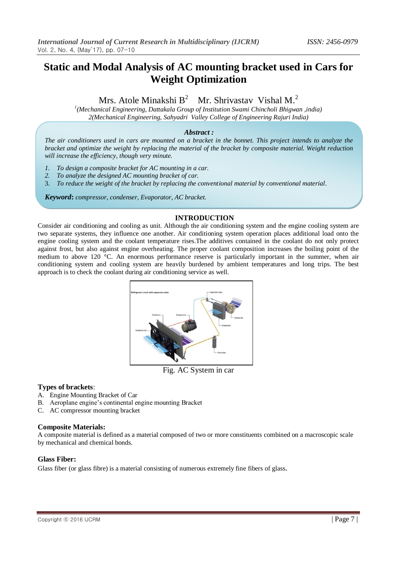# **Static and Modal Analysis of AC mounting bracket used in Cars for Weight Optimization**

Mrs. Atole Minakshi B<sup>2</sup> Mr. Shrivastav Vishal M.<sup>2</sup>

*1 (Mechanical Engineering, Dattakala Group of Institution Swami Chincholi Bhigwan ,india) 2(Mechanical Engineering, Sahyadri Valley College of Engineering Rajuri India)*

## *Abstract :*

*The air conditioners used in cars are mounted on a bracket in the bonnet. This project intends to analyze the bracket and optimize the weight by replacing the material of the bracket by composite material. Weight reduction will increase the efficiency, though very minute.*

- *1. To design a composite bracket for AC mounting in a car.*
- *2. To analyze the designed AC mounting bracket of car.*
- 3. *To reduce the weight of the bracket by replacing the conventional material by conventional material*.

*Keyword***:** *compressor, condenser, Evaporator, AC bracket.*

## **INTRODUCTION**

Consider air conditioning and cooling as unit. Although the air conditioning system and the engine cooling system are two separate systems, they influence one another. Air conditioning system operation places additional load onto the engine cooling system and the coolant temperature rises.The additives contained in the coolant do not only protect against frost, but also against engine overheating. The proper coolant composition increases the boiling point of the medium to above 120 °C. An enormous performance reserve is particularly important in the summer, when air conditioning system and cooling system are heavily burdened by ambient temperatures and long trips. The best approach is to check the coolant during air conditioning service as well.



Fig. AC System in car

## **Types of brackets**:

- A. Engine Mounting Bracket of Car
- B. Aeroplane engine's continental engine mounting Bracket
- C. AC compressor mounting bracket

## **Composite Materials:**

A composite material is defined as a material composed of two or more constituents combined on a macroscopic scale by mechanical and chemical bonds.

## **Glass Fiber:**

Glass fiber (or glass fibre) is a material consisting of numerous extremely fine fibers of glass.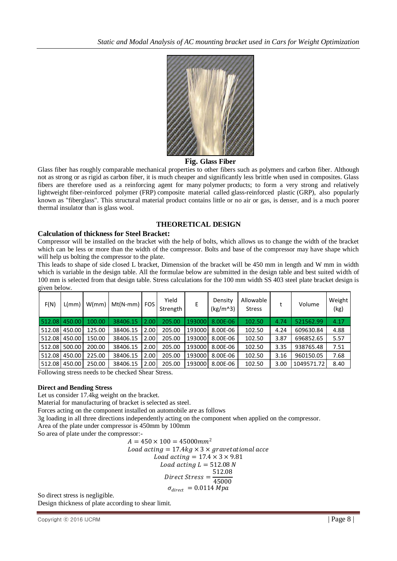

#### **Fig. Glass Fiber**

Glass fiber has roughly comparable mechanical properties to other fibers such as polymers and carbon fiber. Although not as strong or as rigid as carbon fiber, it is much cheaper and significantly less brittle when used in composites. Glass fibers are therefore used as a reinforcing agent for many polymer products; to form a very strong and relatively lightweight fiber-reinforced polymer (FRP) composite material called glass-reinforced plastic (GRP), also popularly known as "fiberglass". This structural material product contains little or no air or gas, is denser, and is a much poorer thermal insulator than is glass wool.

## **THEORETICAL DESIGN**

#### **Calculation of thickness for Steel Bracket:**

Compressor will be installed on the bracket with the help of bolts, which allows us to change the width of the bracket which can be less or more than the width of the compressor. Bolts and base of the compressor may have shape which will help us bolting the compressor to the plate.

This leads to shape of side closed L bracket, Dimension of the bracket will be 450 mm in length and W mm in width which is variable in the design table. All the formulae below are submitted in the design table and best suited width of 100 mm is selected from that design table. Stress calculations for the 100 mm width SS 403 steel plate bracket design is given below.

| F(N)   | L/mm   | W/mm   | $Mt(N-mm)$   FOS |      | Yield<br>Strength | E      | Density<br>$(kg/m^3)$ | Allowable<br><b>Stress</b> |      | Volume     | Weight<br>(kg) |
|--------|--------|--------|------------------|------|-------------------|--------|-----------------------|----------------------------|------|------------|----------------|
| 512.08 | 450.00 | 100.00 | 38406.15         | 2.00 | 205.00            | 193000 | 8.00E-06              | 102.50                     | 4.74 | 521562.99  | 4.17           |
| 512.08 | 450.00 | 125.00 | 38406.15         | 2.00 | 205.00            | 193000 | 8.00E-06              | 102.50                     | 4.24 | 609630.84  | 4.88           |
| 512.08 | 450.00 | 150.00 | 38406.15         | 2.00 | 205.00            | 193000 | 8.00E-06              | 102.50                     | 3.87 | 696852.65  | 5.57           |
| 512.08 | 500.00 | 200.00 | 38406.15         | 2.00 | 205.00            | 193000 | 8.00E-06              | 102.50                     | 3.35 | 938765.48  | 7.51           |
| 512.08 | 450.00 | 225.00 | 38406.15         | 2.00 | 205.00            | 193000 | 8.00E-06              | 102.50                     | 3.16 | 960150.05  | 7.68           |
| 512.08 | 450.00 | 250.00 | 38406.15         | 2.00 | 205.00            | 193000 | 8.00E-06              | 102.50                     | 3.00 | 1049571.72 | 8.40           |

Following stress needs to be checked Shear Stress.

#### **Direct and Bending Stress**

Let us consider 17.4kg weight on the bracket.

Material for manufacturing of bracket is selected as steel.

Forces acting on the component installed on automobile are as follows

3g loading in all three directions independently acting on the component when applied on the compressor.

Area of the plate under compressor is 450mm by 100mm

So area of plate under the compressor:-

$$
A = 450 \times 100 = 45000 mm2
$$
  
Load acting = 17.4kg × 3 × gravetational accel  
Load acting = 17.4 × 3 × 9.81  
Load acting L = 512.08 N  
Direct Stress = 
$$
\frac{512.08}{45000}
$$
  

$$
\sigma_{direct} = 0.0114 Mpa
$$

So direct stress is negligible.

Design thickness of plate according to shear limit.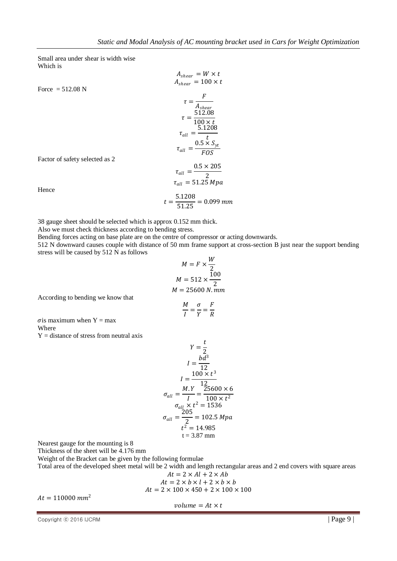Small area under shear is width wise Which is

 $A_{shear} = W \times t$  $A_{shear} = 100 \times t$ Force =  $512.08$  N  $\tau = \frac{F}{4}$  $A_{shear}$  $\tau = \frac{512.08}{100}$  $100 \times t$  $\tau_{all} = \frac{5.1208}{t}$  $t$  $\tau_{all} = \frac{0.5 \times S_{yt}}{FOS}$ *FOS*  $\tau_{all} = \frac{0.5 \times 205}{2}$ 2  $\tau_{all} = 51.25\ Mpa$  $t = \frac{5.1208}{51.25} = 0.099$  mm

Factor of safety selected as 2

38 gauge sheet should be selected which is approx 0.152 mm thick.

Also we must check thickness according to bending stress.

Bending forces acting on base plate are on the centre of compressor or acting downwards.

512 N downward causes couple with distance of 50 mm frame support at cross-section B just near the support bending stress will be caused by 512 N as follows  $\overline{11}$ 

$$
M = F \times \frac{W}{2}
$$
  

$$
M = 512 \times \frac{100}{2}
$$
  

$$
M = 25600 N. mm
$$
  

$$
\frac{M}{I} = \frac{\sigma}{Y} = \frac{F}{R}
$$

 $\boldsymbol{R}$ 

According to bending we know that

$$
\sigma
$$
is maximum when Y = max

Where

Hence

 $Y =$  distance of stress from neutral axis

$$
Y = \frac{t}{2}
$$
  
\n
$$
I = \frac{bd^3}{12}
$$
  
\n
$$
I = \frac{100 \times t^3}{12}
$$
  
\n
$$
\sigma_{all} = \frac{M \cdot Y}{I} = \frac{25600 \times 6}{100 \times t^2}
$$
  
\n
$$
\sigma_{all} \times t^2 = 1536
$$
  
\n
$$
\sigma_{all} = \frac{205}{2} = 102.5 Mpa
$$
  
\n
$$
t^2 = 14.985
$$
  
\n
$$
t = 3.87 mm
$$

Nearest gauge for the mounting is 8

Thickness of the sheet will be 4.176 mm

Weight of the Bracket can be given by the following formulae

Total area of the developed sheet metal will be 2 width and length rectangular areas and 2 end covers with square areas  $\times$   $\frac{1}{2}$   $\frac{1}{2}$ 

$$
At = 2 \times At + 2 \times Ab
$$
  
At = 2 × b × l + 2 × b × b  
At = 2 × 100 × 450 + 2 × 100 × 100

 $At = 110000$   $mm<sup>2</sup>$ 

$$
volume = At \times t
$$

Copyright © 2016 IJCRM  $\vert$  Page 9  $\vert$